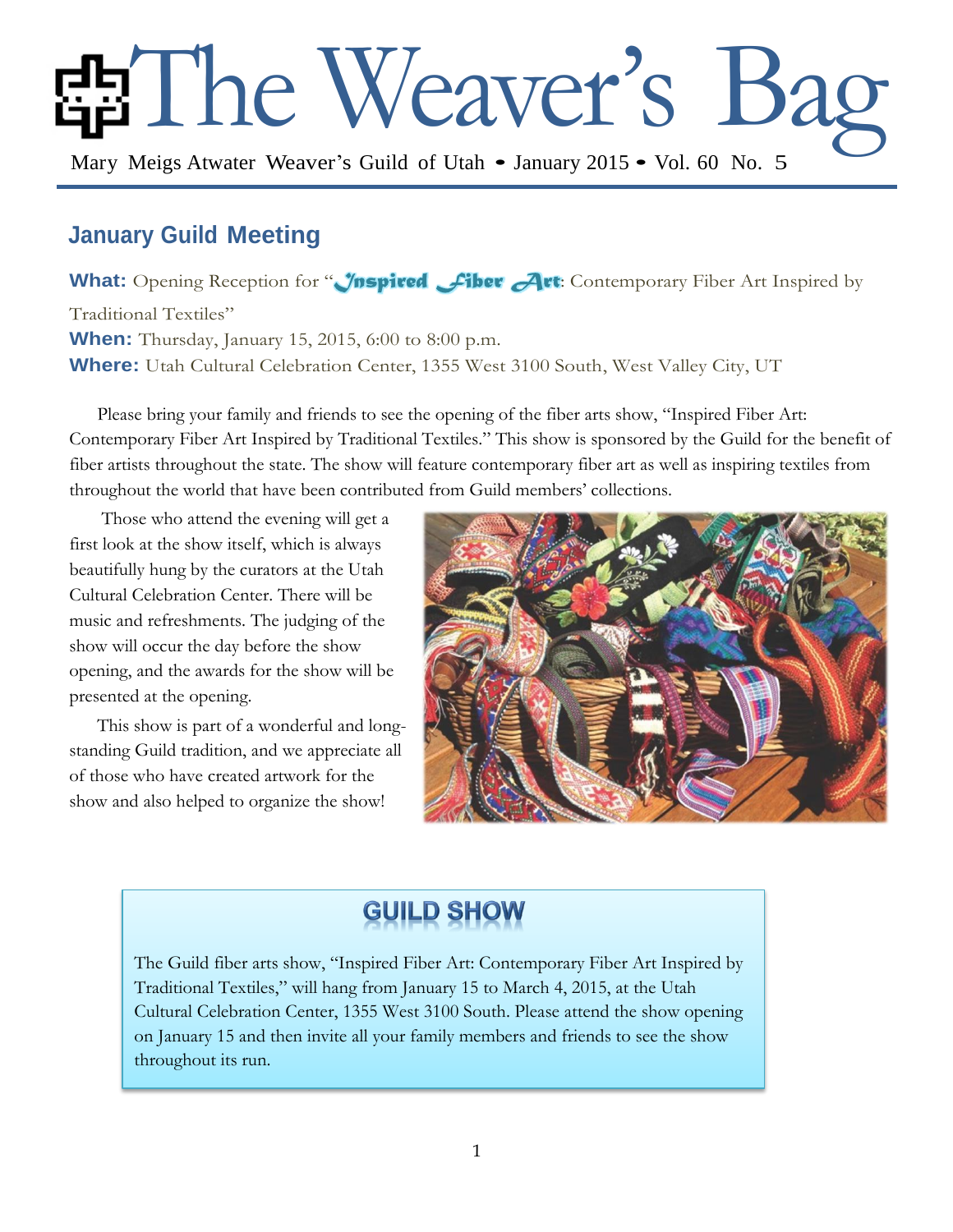# EThe Weaver's Ba

Mary Meigs Atwater Weaver's Guild of Utah • January 2015 • Vol. 60 No. 5

# **January Guild Meeting**

What: Opening Reception for "*Inspired Fiber* Art: Contemporary Fiber Art Inspired by Traditional Textiles" **When:** Thursday, January 15, 2015, 6:00 to 8:00 p.m. **Where:** Utah Cultural Celebration Center, 1355 West 3100 South, West Valley City, UT

Please bring your family and friends to see the opening of the fiber arts show, "Inspired Fiber Art: Contemporary Fiber Art Inspired by Traditional Textiles." This show is sponsored by the Guild for the benefit of fiber artists throughout the state. The show will feature contemporary fiber art as well as inspiring textiles from throughout the world that have been contributed from Guild members' collections.

Those who attend the evening will get a first look at the show itself, which is always beautifully hung by the curators at the Utah Cultural Celebration Center. There will be music and refreshments. The judging of the show will occur the day before the show opening, and the awards for the show will be presented at the opening.

This show is part of a wonderful and longstanding Guild tradition, and we appreciate all of those who have created artwork for the show and also helped to organize the show!



# **GUILD SHOW**

The Guild fiber arts show, "Inspired Fiber Art: Contemporary Fiber Art Inspired by Traditional Textiles," will hang from January 15 to March 4, 2015, at the Utah Cultural Celebration Center, 1355 West 3100 South. Please attend the show opening on January 15 and then invite all your family members and friends to see the show throughout its run.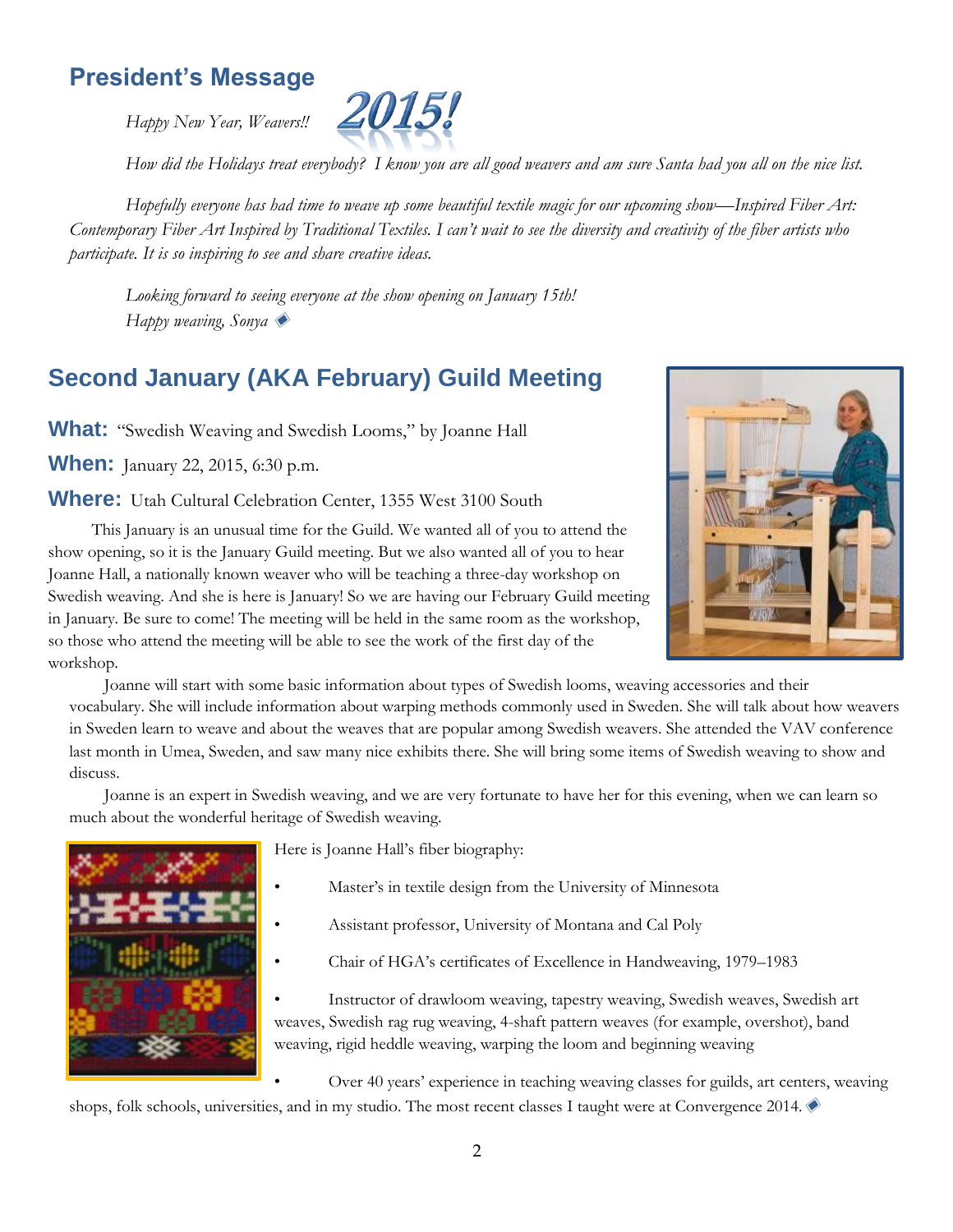# **President's Message**

*Happy New Year, Weavers!!*



*How did the Holidays treat everybody? I know you are all good weavers and am sure Santa had you all on the nice list.*

*Hopefully everyone has had time to weave up some beautiful textile magic for our upcoming show—Inspired Fiber Art: Contemporary Fiber Art Inspired by Traditional Textiles. I can't wait to see the diversity and creativity of the fiber artists who participate. It is so inspiring to see and share creative ideas.* 

*Looking forward to seeing everyone at the show opening on January 15th! Happy weaving, Sonya* ◆

# **Second January (AKA February) Guild Meeting**

**What:** "Swedish Weaving and Swedish Looms," by Joanne Hall

**When:** January 22, 2015, 6:30 p.m.

**Where:** Utah Cultural Celebration Center, 1355 West 3100 South



This January is an unusual time for the Guild. We wanted all of you to attend the show opening, so it is the January Guild meeting. But we also wanted all of you to hear Joanne Hall, a nationally known weaver who will be teaching a three-day workshop on Swedish weaving. And she is here is January! So we are having our February Guild meeting in January. Be sure to come! The meeting will be held in the same room as the workshop, so those who attend the meeting will be able to see the work of the first day of the workshop.

Joanne will start with some basic information about types of Swedish looms, weaving accessories and their vocabulary. She will include information about warping methods commonly used in Sweden. She will talk about how weavers in Sweden learn to weave and about the weaves that are popular among Swedish weavers. She attended the VAV conference last month in Umea, Sweden, and saw many nice exhibits there. She will bring some items of Swedish weaving to show and discuss.

Joanne is an expert in Swedish weaving, and we are very fortunate to have her for this evening, when we can learn so much about the wonderful heritage of Swedish weaving.



Here is Joanne Hall's fiber biography:

- Master's in textile design from the University of Minnesota
- Assistant professor, University of Montana and Cal Poly
- Chair of HGA's certificates of Excellence in Handweaving, 1979–1983

• Instructor of drawloom weaving, tapestry weaving, Swedish weaves, Swedish art weaves, Swedish rag rug weaving, 4-shaft pattern weaves (for example, overshot), band weaving, rigid heddle weaving, warping the loom and beginning weaving

• Over 40 years' experience in teaching weaving classes for guilds, art centers, weaving shops, folk schools, universities, and in my studio. The most recent classes I taught were at Convergence 2014.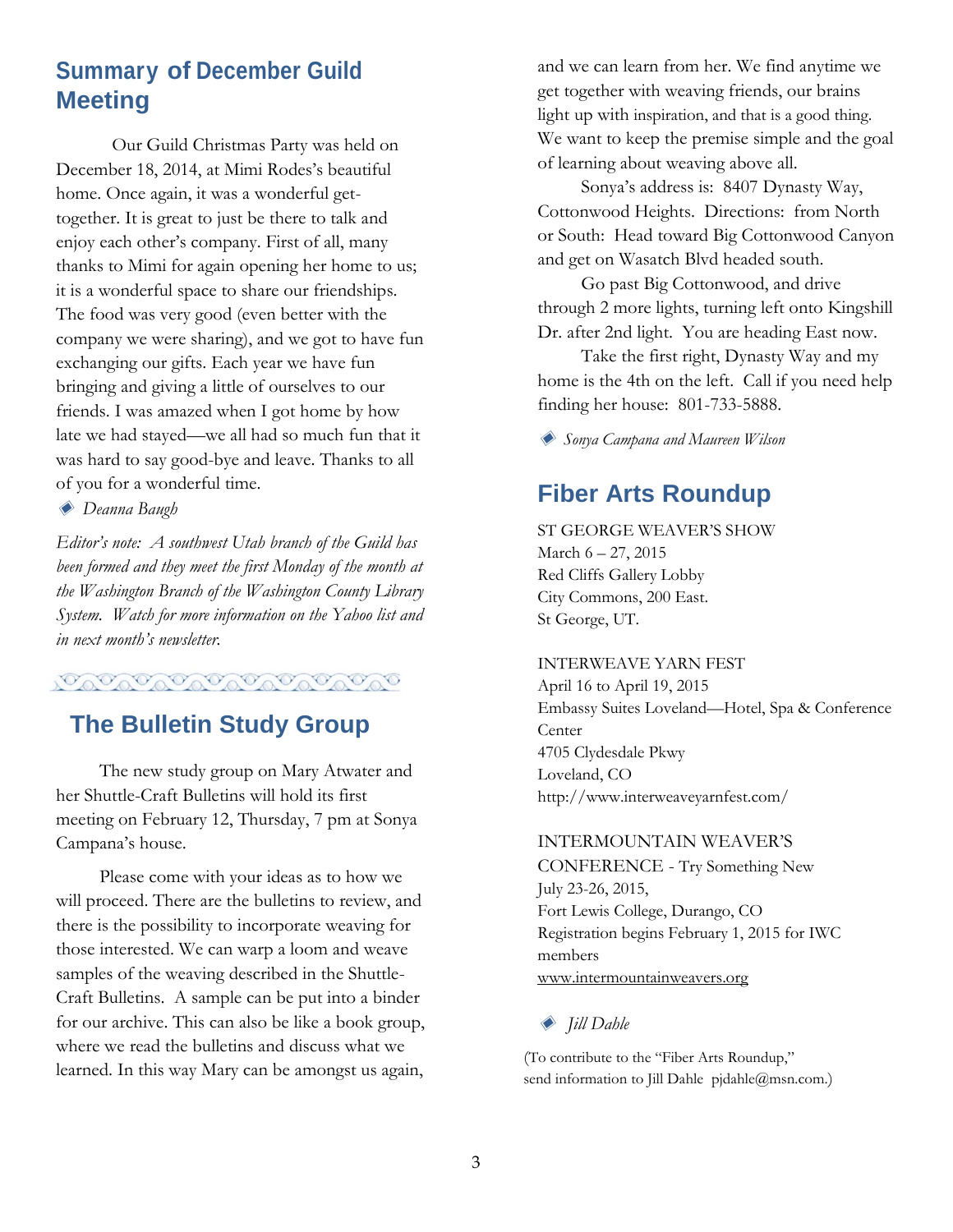# **Summary of December Guild Meeting**

Our Guild Christmas Party was held on December 18, 2014, at Mimi Rodes's beautiful home. Once again, it was a wonderful gettogether. It is great to just be there to talk and enjoy each other's company. First of all, many thanks to Mimi for again opening her home to us; it is a wonderful space to share our friendships. The food was very good (even better with the company we were sharing), and we got to have fun exchanging our gifts. Each year we have fun bringing and giving a little of ourselves to our friends. I was amazed when I got home by how late we had stayed—we all had so much fun that it was hard to say good-bye and leave. Thanks to all of you for a wonderful time.

◈ *Deanna Baugh*

*Editor's note: A southwest Utah branch of the Guild has been formed and they meet the first Monday of the month at the Washington Branch of the Washington County Library System. Watch for more information on the Yahoo list and in next month's newsletter.*

19000000000000000

# **The Bulletin Study Group**

The new study group on Mary Atwater and her Shuttle-Craft Bulletins will hold its first meeting on February 12, Thursday, 7 pm at Sonya Campana's house.

Please come with your ideas as to how we will proceed. There are the bulletins to review, and there is the possibility to incorporate weaving for those interested. We can warp a loom and weave samples of the weaving described in the Shuttle-Craft Bulletins. A sample can be put into a binder for our archive. This can also be like a book group, where we read the bulletins and discuss what we learned. In this way Mary can be amongst us again,

and we can learn from her. We find anytime we get together with weaving friends, our brains light up with inspiration, and that is a good thing. We want to keep the premise simple and the goal of learning about weaving above all.

Sonya's address is: 8407 Dynasty Way, Cottonwood Heights. Directions: from North or South: Head toward Big Cottonwood Canyon and get on Wasatch Blvd headed south.

Go past Big Cottonwood, and drive through 2 more lights, turning left onto Kingshill Dr. after 2nd light. You are heading East now.

Take the first right, Dynasty Way and my home is the 4th on the left. Call if you need help finding her house: 801-733-5888.

◈ *Sonya Campana and Maureen Wilson*

# **Fiber Arts Roundup**

ST GEORGE WEAVER'S SHOW March 6 – 27, 2015 Red Cliffs Gallery Lobby City Commons, 200 East. St George, UT.

INTERWEAVE YARN FEST April 16 to April 19, 2015 Embassy Suites Loveland—Hotel, Spa & Conference **Center** 4705 Clydesdale Pkwy Loveland, CO http://www.interweaveyarnfest.com/

#### INTERMOUNTAIN WEAVER'S

CONFERENCE - Try Something New July 23-26, 2015, Fort Lewis College, Durango, CO Registration begins February 1, 2015 for IWC members [www.intermountainweavers.org](http://www.intermountainweavers.org/)

#### ◈ *Jill Dahle*

(To contribute to the "Fiber Arts Roundup," send information to Jill Dahle pjdahle@msn.com.)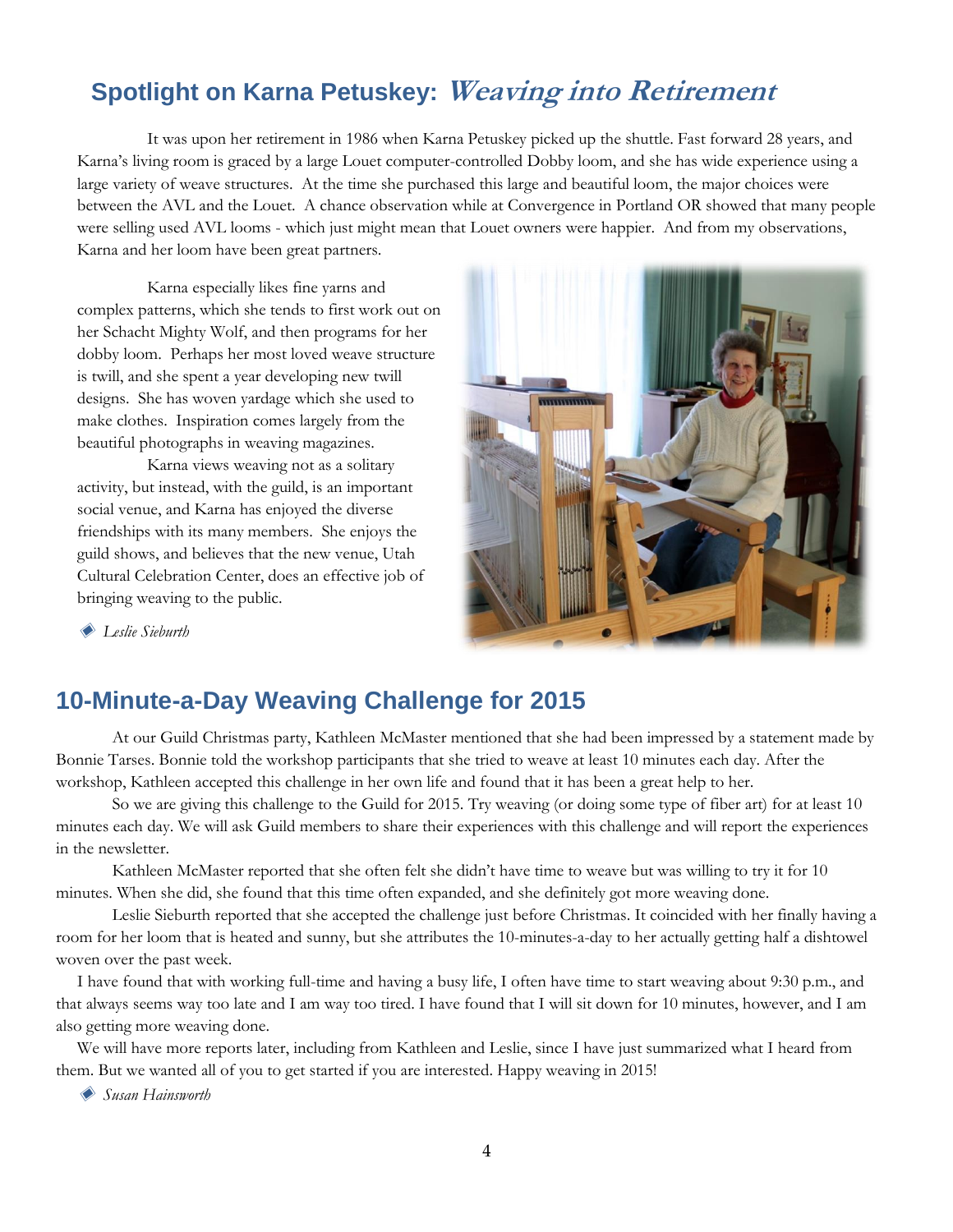# **Spotlight on Karna Petuskey: Weaving into Retirement**

It was upon her retirement in 1986 when Karna Petuskey picked up the shuttle. Fast forward 28 years, and Karna's living room is graced by a large Louet computer-controlled Dobby loom, and she has wide experience using a large variety of weave structures. At the time she purchased this large and beautiful loom, the major choices were between the AVL and the Louet. A chance observation while at Convergence in Portland OR showed that many people were selling used AVL looms - which just might mean that Louet owners were happier. And from my observations, Karna and her loom have been great partners.

Karna especially likes fine yarns and complex patterns, which she tends to first work out on her Schacht Mighty Wolf, and then programs for her dobby loom. Perhaps her most loved weave structure is twill, and she spent a year developing new twill designs. She has woven yardage which she used to make clothes. Inspiration comes largely from the beautiful photographs in weaving magazines.

Karna views weaving not as a solitary activity, but instead, with the guild, is an important social venue, and Karna has enjoyed the diverse friendships with its many members. She enjoys the guild shows, and believes that the new venue, Utah Cultural Celebration Center, does an effective job of bringing weaving to the public.



◈ *Leslie Sieburth*

# **10-Minute-a-Day Weaving Challenge for 2015**

At our Guild Christmas party, Kathleen McMaster mentioned that she had been impressed by a statement made by Bonnie Tarses. Bonnie told the workshop participants that she tried to weave at least 10 minutes each day. After the workshop, Kathleen accepted this challenge in her own life and found that it has been a great help to her.

So we are giving this challenge to the Guild for 2015. Try weaving (or doing some type of fiber art) for at least 10 minutes each day. We will ask Guild members to share their experiences with this challenge and will report the experiences in the newsletter.

Kathleen McMaster reported that she often felt she didn't have time to weave but was willing to try it for 10 minutes. When she did, she found that this time often expanded, and she definitely got more weaving done.

Leslie Sieburth reported that she accepted the challenge just before Christmas. It coincided with her finally having a room for her loom that is heated and sunny, but she attributes the 10-minutes-a-day to her actually getting half a dishtowel woven over the past week.

I have found that with working full-time and having a busy life, I often have time to start weaving about 9:30 p.m., and that always seems way too late and I am way too tired. I have found that I will sit down for 10 minutes, however, and I am also getting more weaving done.

We will have more reports later, including from Kathleen and Leslie, since I have just summarized what I heard from them. But we wanted all of you to get started if you are interested. Happy weaving in 2015!

◈ *Susan Hainsworth*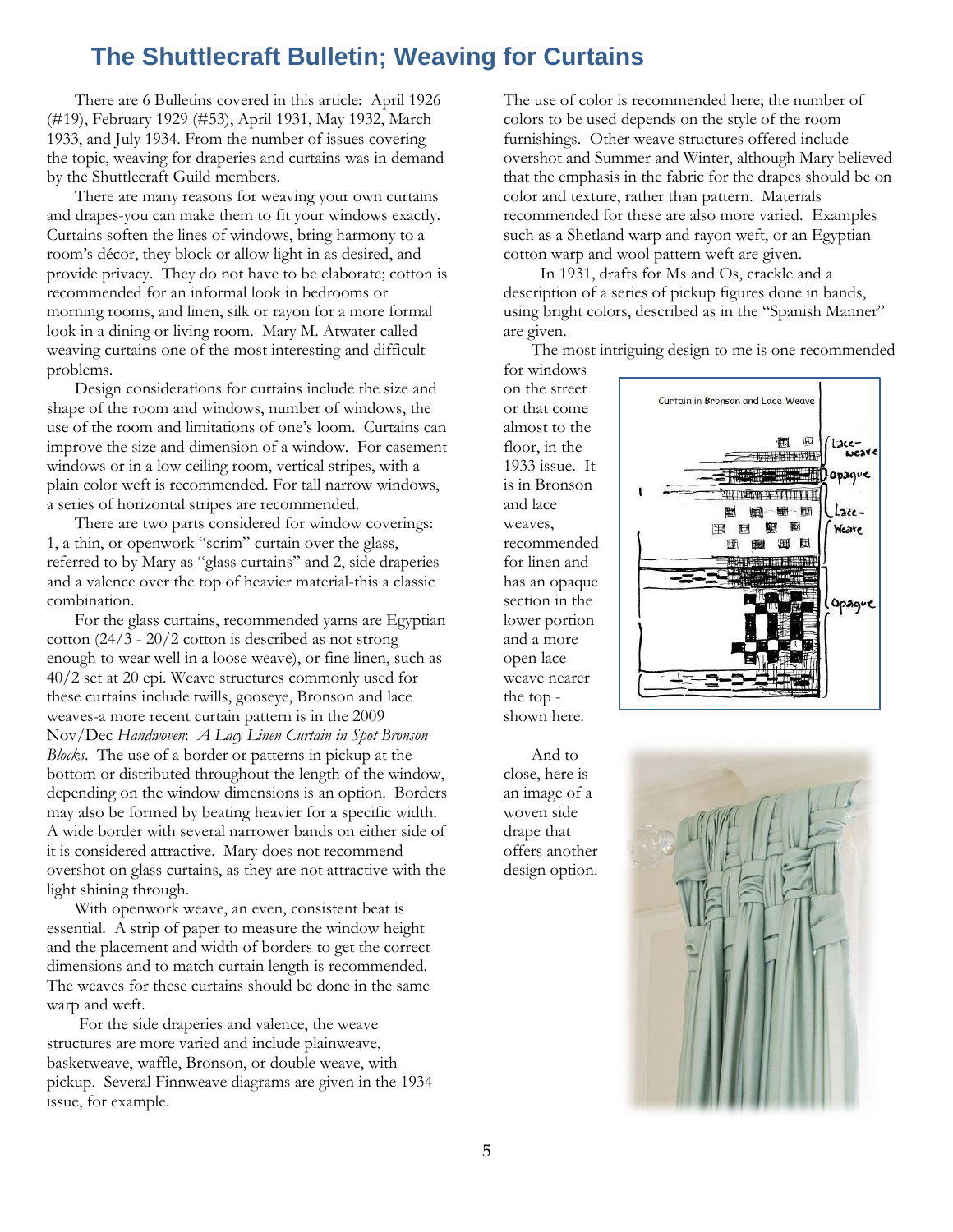# **The Shuttlecraft Bulletin; Weaving for Curtains**

There are 6 Bulletins covered in this article: April 1926 (#19), February 1929 (#53), April 1931, May 1932, March 1933, and July 1934. From the number of issues covering the topic, weaving for draperies and curtains was in demand by the Shuttlecraft Guild members.

There are many reasons for weaving your own curtains and drapes-you can make them to fit your windows exactly. Curtains soften the lines of windows, bring harmony to a room's décor, they block or allow light in as desired, and provide privacy. They do not have to be elaborate; cotton is recommended for an informal look in bedrooms or morning rooms, and linen, silk or rayon for a more formal look in a dining or living room. Mary M. Atwater called weaving curtains one of the most interesting and difficult problems.

Design considerations for curtains include the size and shape of the room and windows, number of windows, the use of the room and limitations of one's loom. Curtains can improve the size and dimension of a window. For casement windows or in a low ceiling room, vertical stripes, with a plain color weft is recommended. For tall narrow windows, a series of horizontal stripes are recommended.

There are two parts considered for window coverings: 1, a thin, or openwork "scrim" curtain over the glass, referred to by Mary as "glass curtains" and 2, side draperies and a valence over the top of heavier material-this a classic combination.

For the glass curtains, recommended yarns are Egyptian cotton (24/3 - 20/2 cotton is described as not strong enough to wear well in a loose weave), or fine linen, such as 40/2 set at 20 epi. Weave structures commonly used for these curtains include twills, gooseye, Bronson and lace weaves-a more recent curtain pattern is in the 2009 Nov/Dec *Handwoven*: *A Lacy Linen Curtain in Spot Bronson Blocks*. The use of a border or patterns in pickup at the bottom or distributed throughout the length of the window, depending on the window dimensions is an option. Borders may also be formed by beating heavier for a specific width. A wide border with several narrower bands on either side of it is considered attractive. Mary does not recommend overshot on glass curtains, as they are not attractive with the light shining through.

With openwork weave, an even, consistent beat is essential. A strip of paper to measure the window height and the placement and width of borders to get the correct dimensions and to match curtain length is recommended. The weaves for these curtains should be done in the same warp and weft.

For the side draperies and valence, the weave structures are more varied and include plainweave, basketweave, waffle, Bronson, or double weave, with pickup. Several Finnweave diagrams are given in the 1934 issue, for example.

The use of color is recommended here; the number of colors to be used depends on the style of the room furnishings. Other weave structures offered include overshot and Summer and Winter, although Mary believed that the emphasis in the fabric for the drapes should be on color and texture, rather than pattern. Materials recommended for these are also more varied. Examples such as a Shetland warp and rayon weft, or an Egyptian cotton warp and wool pattern weft are given.

 In 1931, drafts for Ms and Os, crackle and a description of a series of pickup figures done in bands, using bright colors, described as in the "Spanish Manner" are given.

The most intriguing design to me is one recommended

for windows on the street or that come almost to the floor, in the 1933 issue. It is in Bronson and lace weaves, recommended for linen and has an opaque section in the lower portion and a more open lace weave nearer the top shown here.



And to close, here is an image of a woven side drape that offers another design option.